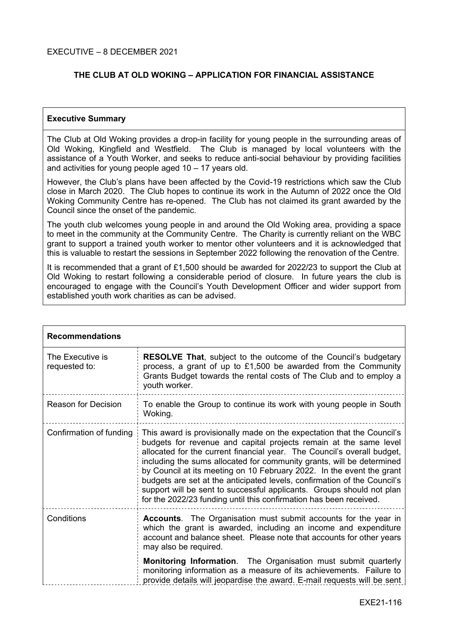# **THE CLUB AT OLD WOKING – APPLICATION FOR FINANCIAL ASSISTANCE**

#### **Executive Summary**

The Club at Old Woking provides a drop-in facility for young people in the surrounding areas of Old Woking, Kingfield and Westfield. The Club is managed by local volunteers with the assistance of a Youth Worker, and seeks to reduce anti-social behaviour by providing facilities and activities for young people aged 10 – 17 years old.

However, the Club's plans have been affected by the Covid-19 restrictions which saw the Club close in March 2020. The Club hopes to continue its work in the Autumn of 2022 once the Old Woking Community Centre has re-opened. The Club has not claimed its grant awarded by the Council since the onset of the pandemic.

The youth club welcomes young people in and around the Old Woking area, providing a space to meet in the community at the Community Centre. The Charity is currently reliant on the WBC grant to support a trained youth worker to mentor other volunteers and it is acknowledged that this is valuable to restart the sessions in September 2022 following the renovation of the Centre.

It is recommended that a grant of £1,500 should be awarded for 2022/23 to support the Club at Old Woking to restart following a considerable period of closure. In future years the club is encouraged to engage with the Council's Youth Development Officer and wider support from established youth work charities as can be advised.

| <b>Recommendations</b>            |                                                                                                                                                                                                                                                                                                                                                                                                                                                                                                                                                                                                     |  |
|-----------------------------------|-----------------------------------------------------------------------------------------------------------------------------------------------------------------------------------------------------------------------------------------------------------------------------------------------------------------------------------------------------------------------------------------------------------------------------------------------------------------------------------------------------------------------------------------------------------------------------------------------------|--|
| The Executive is<br>requested to: | <b>RESOLVE That, subject to the outcome of the Council's budgetary</b><br>process, a grant of up to £1,500 be awarded from the Community<br>Grants Budget towards the rental costs of The Club and to employ a<br>youth worker.                                                                                                                                                                                                                                                                                                                                                                     |  |
| Reason for Decision               | To enable the Group to continue its work with young people in South<br>Woking.                                                                                                                                                                                                                                                                                                                                                                                                                                                                                                                      |  |
| Confirmation of funding           | This award is provisionally made on the expectation that the Council's<br>budgets for revenue and capital projects remain at the same level<br>allocated for the current financial year. The Council's overall budget,<br>including the sums allocated for community grants, will be determined<br>by Council at its meeting on 10 February 2022. In the event the grant<br>budgets are set at the anticipated levels, confirmation of the Council's<br>support will be sent to successful applicants. Groups should not plan<br>for the 2022/23 funding until this confirmation has been received. |  |
| Conditions                        | <b>Accounts.</b> The Organisation must submit accounts for the year in<br>which the grant is awarded, including an income and expenditure<br>account and balance sheet. Please note that accounts for other years<br>may also be required.                                                                                                                                                                                                                                                                                                                                                          |  |
|                                   | Monitoring Information. The Organisation must submit quarterly<br>monitoring information as a measure of its achievements. Failure to<br>provide details will jeopardise the award. E-mail requests will be sent                                                                                                                                                                                                                                                                                                                                                                                    |  |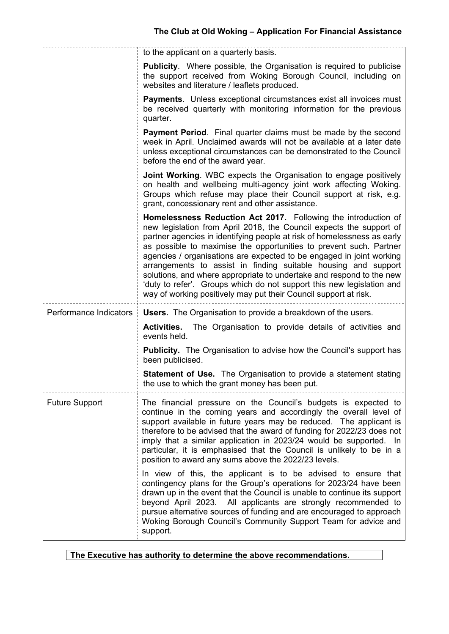|                        | to the applicant on a quarterly basis.                                                                                                                                                                                                                                                                                                                                                                                                                                                                                                                                                                                                                |  |
|------------------------|-------------------------------------------------------------------------------------------------------------------------------------------------------------------------------------------------------------------------------------------------------------------------------------------------------------------------------------------------------------------------------------------------------------------------------------------------------------------------------------------------------------------------------------------------------------------------------------------------------------------------------------------------------|--|
|                        | <b>Publicity.</b> Where possible, the Organisation is required to publicise<br>the support received from Woking Borough Council, including on<br>websites and literature / leaflets produced.                                                                                                                                                                                                                                                                                                                                                                                                                                                         |  |
|                        | <b>Payments.</b> Unless exceptional circumstances exist all invoices must<br>be received quarterly with monitoring information for the previous<br>quarter.                                                                                                                                                                                                                                                                                                                                                                                                                                                                                           |  |
|                        | <b>Payment Period.</b> Final quarter claims must be made by the second<br>week in April. Unclaimed awards will not be available at a later date<br>unless exceptional circumstances can be demonstrated to the Council<br>before the end of the award year.                                                                                                                                                                                                                                                                                                                                                                                           |  |
|                        | <b>Joint Working.</b> WBC expects the Organisation to engage positively<br>on health and wellbeing multi-agency joint work affecting Woking.<br>Groups which refuse may place their Council support at risk, e.g.<br>grant, concessionary rent and other assistance.                                                                                                                                                                                                                                                                                                                                                                                  |  |
|                        | Homelessness Reduction Act 2017. Following the introduction of<br>new legislation from April 2018, the Council expects the support of<br>partner agencies in identifying people at risk of homelessness as early<br>as possible to maximise the opportunities to prevent such. Partner<br>agencies / organisations are expected to be engaged in joint working<br>arrangements to assist in finding suitable housing and support<br>solutions, and where appropriate to undertake and respond to the new<br>'duty to refer'. Groups which do not support this new legislation and<br>way of working positively may put their Council support at risk. |  |
| Performance Indicators | <b>Users.</b> The Organisation to provide a breakdown of the users.                                                                                                                                                                                                                                                                                                                                                                                                                                                                                                                                                                                   |  |
|                        | <b>Activities.</b> The Organisation to provide details of activities and<br>events held.                                                                                                                                                                                                                                                                                                                                                                                                                                                                                                                                                              |  |
|                        | <b>Publicity.</b> The Organisation to advise how the Council's support has<br>been publicised.                                                                                                                                                                                                                                                                                                                                                                                                                                                                                                                                                        |  |
|                        | <b>Statement of Use.</b> The Organisation to provide a statement stating<br>the use to which the grant money has been put.                                                                                                                                                                                                                                                                                                                                                                                                                                                                                                                            |  |
| <b>Future Support</b>  | The financial pressure on the Council's budgets is expected to<br>continue in the coming years and accordingly the overall level of<br>support available in future years may be reduced. The applicant is<br>therefore to be advised that the award of funding for 2022/23 does not<br>imply that a similar application in 2023/24 would be supported. In<br>particular, it is emphasised that the Council is unlikely to be in a<br>position to award any sums above the 2022/23 levels.                                                                                                                                                             |  |
|                        | In view of this, the applicant is to be advised to ensure that<br>contingency plans for the Group's operations for 2023/24 have been<br>drawn up in the event that the Council is unable to continue its support<br>beyond April 2023. All applicants are strongly recommended to<br>pursue alternative sources of funding and are encouraged to approach<br>Woking Borough Council's Community Support Team for advice and<br>support.                                                                                                                                                                                                               |  |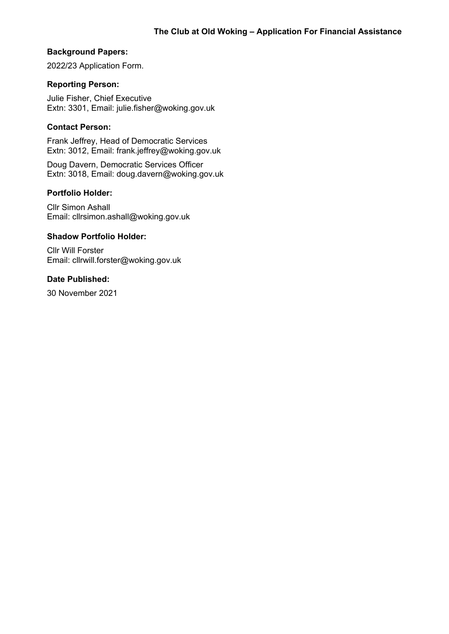### **Background Papers:**

2022/23 Application Form.

### **Reporting Person:**

Julie Fisher, Chief Executive Extn: 3301, Email: julie.fisher@woking.gov.uk

# **Contact Person:**

Frank Jeffrey, Head of Democratic Services Extn: 3012, Email: frank.jeffrey@woking.gov.uk

Doug Davern, Democratic Services Officer Extn: 3018, Email: doug.davern@woking.gov.uk

#### **Portfolio Holder:**

Cllr Simon Ashall Email: cllrsimon.ashall@woking.gov.uk

#### **Shadow Portfolio Holder:**

Cllr Will Forster Email: cllrwill.forster@woking.gov.uk

# **Date Published:**

30 November 2021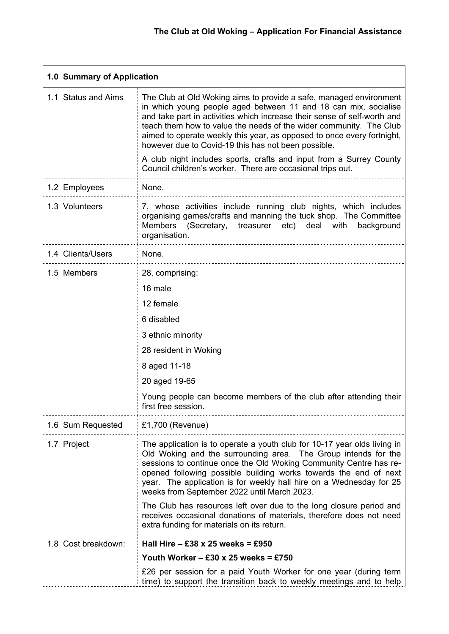| 1.0 Summary of Application |                                                                                                                                                                                                                                                                                                                                                                                                                                                                                                                                                               |  |  |  |
|----------------------------|---------------------------------------------------------------------------------------------------------------------------------------------------------------------------------------------------------------------------------------------------------------------------------------------------------------------------------------------------------------------------------------------------------------------------------------------------------------------------------------------------------------------------------------------------------------|--|--|--|
| 1.1 Status and Aims        | The Club at Old Woking aims to provide a safe, managed environment<br>in which young people aged between 11 and 18 can mix, socialise<br>and take part in activities which increase their sense of self-worth and<br>teach them how to value the needs of the wider community. The Club<br>aimed to operate weekly this year, as opposed to once every fortnight,<br>however due to Covid-19 this has not been possible.<br>A club night includes sports, crafts and input from a Surrey County<br>Council children's worker. There are occasional trips out. |  |  |  |
|                            |                                                                                                                                                                                                                                                                                                                                                                                                                                                                                                                                                               |  |  |  |
| 1.2 Employees              | None.                                                                                                                                                                                                                                                                                                                                                                                                                                                                                                                                                         |  |  |  |
| 1.3 Volunteers             | 7, whose activities include running club nights, which includes<br>organising games/crafts and manning the tuck shop. The Committee<br>Members (Secretary,<br>treasurer etc) deal with<br>background<br>organisation.                                                                                                                                                                                                                                                                                                                                         |  |  |  |
| 1.4 Clients/Users          | None.                                                                                                                                                                                                                                                                                                                                                                                                                                                                                                                                                         |  |  |  |
| 1.5 Members                | 28, comprising:                                                                                                                                                                                                                                                                                                                                                                                                                                                                                                                                               |  |  |  |
|                            | 16 male                                                                                                                                                                                                                                                                                                                                                                                                                                                                                                                                                       |  |  |  |
|                            | 12 female                                                                                                                                                                                                                                                                                                                                                                                                                                                                                                                                                     |  |  |  |
|                            | 6 disabled                                                                                                                                                                                                                                                                                                                                                                                                                                                                                                                                                    |  |  |  |
|                            | 3 ethnic minority                                                                                                                                                                                                                                                                                                                                                                                                                                                                                                                                             |  |  |  |
|                            | 28 resident in Woking                                                                                                                                                                                                                                                                                                                                                                                                                                                                                                                                         |  |  |  |
|                            | 8 aged 11-18                                                                                                                                                                                                                                                                                                                                                                                                                                                                                                                                                  |  |  |  |
|                            | 20 aged 19-65                                                                                                                                                                                                                                                                                                                                                                                                                                                                                                                                                 |  |  |  |
|                            | Young people can become members of the club after attending their<br>first free session.                                                                                                                                                                                                                                                                                                                                                                                                                                                                      |  |  |  |
| 1.6 Sum Requested          | £1,700 (Revenue)                                                                                                                                                                                                                                                                                                                                                                                                                                                                                                                                              |  |  |  |
| 1.7 Project                | The application is to operate a youth club for 10-17 year olds living in<br>Old Woking and the surrounding area. The Group intends for the<br>sessions to continue once the Old Woking Community Centre has re-<br>opened following possible building works towards the end of next<br>year. The application is for weekly hall hire on a Wednesday for 25<br>weeks from September 2022 until March 2023.                                                                                                                                                     |  |  |  |
|                            | The Club has resources left over due to the long closure period and<br>receives occasional donations of materials, therefore does not need<br>extra funding for materials on its return.                                                                                                                                                                                                                                                                                                                                                                      |  |  |  |
| 1.8 Cost breakdown:        | Hall Hire $-$ £38 x 25 weeks = £950                                                                                                                                                                                                                                                                                                                                                                                                                                                                                                                           |  |  |  |
|                            | Youth Worker - £30 x 25 weeks = £750                                                                                                                                                                                                                                                                                                                                                                                                                                                                                                                          |  |  |  |
|                            | £26 per session for a paid Youth Worker for one year (during term<br>time) to support the transition back to weekly meetings and to help                                                                                                                                                                                                                                                                                                                                                                                                                      |  |  |  |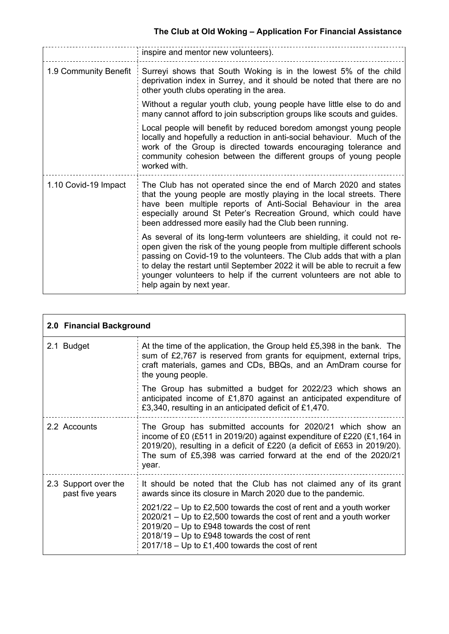|                       | inspire and mentor new volunteers).                                                                                                                                                                                                                                                                                                                                                                          |  |
|-----------------------|--------------------------------------------------------------------------------------------------------------------------------------------------------------------------------------------------------------------------------------------------------------------------------------------------------------------------------------------------------------------------------------------------------------|--|
| 1.9 Community Benefit | Surreyi shows that South Woking is in the lowest 5% of the child<br>deprivation index in Surrey, and it should be noted that there are no<br>other youth clubs operating in the area.                                                                                                                                                                                                                        |  |
|                       | Without a regular youth club, young people have little else to do and<br>many cannot afford to join subscription groups like scouts and guides.                                                                                                                                                                                                                                                              |  |
|                       | Local people will benefit by reduced boredom amongst young people<br>locally and hopefully a reduction in anti-social behaviour. Much of the<br>work of the Group is directed towards encouraging tolerance and<br>community cohesion between the different groups of young people<br>worked with.                                                                                                           |  |
| 1.10 Covid-19 Impact  | The Club has not operated since the end of March 2020 and states<br>that the young people are mostly playing in the local streets. There<br>have been multiple reports of Anti-Social Behaviour in the area<br>especially around St Peter's Recreation Ground, which could have<br>been addressed more easily had the Club been running.                                                                     |  |
|                       | As several of its long-term volunteers are shielding, it could not re-<br>open given the risk of the young people from multiple different schools<br>passing on Covid-19 to the volunteers. The Club adds that with a plan<br>to delay the restart until September 2022 it will be able to recruit a few<br>younger volunteers to help if the current volunteers are not able to<br>help again by next year. |  |

|                                         | 2.0 Financial Background                                                                                                                                                                                                                                                                              |  |  |
|-----------------------------------------|-------------------------------------------------------------------------------------------------------------------------------------------------------------------------------------------------------------------------------------------------------------------------------------------------------|--|--|
| 2.1 Budget                              | At the time of the application, the Group held £5,398 in the bank. The<br>sum of £2,767 is reserved from grants for equipment, external trips,<br>craft materials, games and CDs, BBQs, and an AmDram course for<br>the young people.                                                                 |  |  |
|                                         | The Group has submitted a budget for 2022/23 which shows an<br>anticipated income of £1,870 against an anticipated expenditure of<br>£3,340, resulting in an anticipated deficit of £1,470.                                                                                                           |  |  |
| 2.2 Accounts                            | The Group has submitted accounts for 2020/21 which show an<br>income of £0 (£511 in 2019/20) against expenditure of £220 (£1,164 in<br>2019/20), resulting in a deficit of £220 (a deficit of £653 in 2019/20).<br>The sum of £5,398 was carried forward at the end of the 2020/21<br>year.           |  |  |
| 2.3 Support over the<br>past five years | It should be noted that the Club has not claimed any of its grant<br>awards since its closure in March 2020 due to the pandemic.                                                                                                                                                                      |  |  |
|                                         | $2021/22$ – Up to £2,500 towards the cost of rent and a youth worker<br>$2020/21$ – Up to £2,500 towards the cost of rent and a youth worker<br>2019/20 - Up to £948 towards the cost of rent<br>$2018/19$ – Up to £948 towards the cost of rent<br>$2017/18$ – Up to £1,400 towards the cost of rent |  |  |